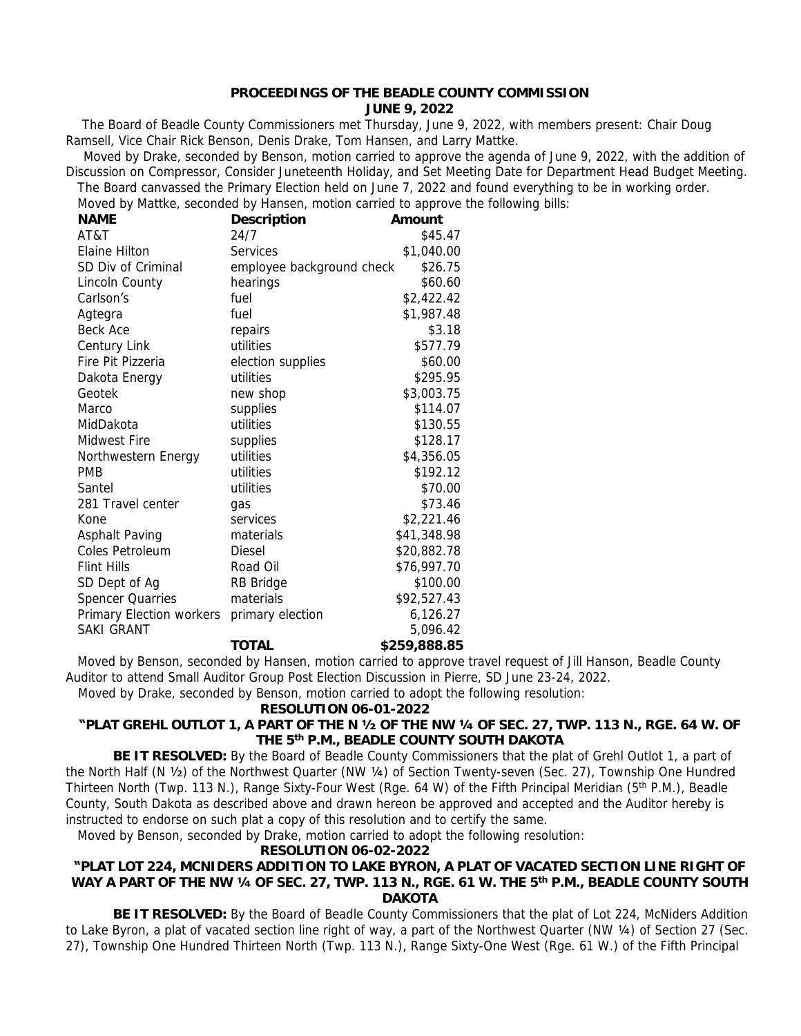#### **PROCEEDINGS OF THE BEADLE COUNTY COMMISSION JUNE 9, 2022**

 The Board of Beadle County Commissioners met Thursday, June 9, 2022, with members present: Chair Doug Ramsell, Vice Chair Rick Benson, Denis Drake, Tom Hansen, and Larry Mattke.

Moved by Drake, seconded by Benson, motion carried to approve the agenda of June 9, 2022, with the addition of Discussion on Compressor, Consider Juneteenth Holiday, and Set Meeting Date for Department Head Budget Meeting. The Board canvassed the Primary Election held on June 7, 2022 and found everything to be in working order.

Moved by Mattke, seconded by Hansen, motion carried to approve the following bills:

| <b>NAME</b>              | Description               | Amount       |
|--------------------------|---------------------------|--------------|
| AT&T                     | 24/7                      | \$45.47      |
| Elaine Hilton            | Services                  | \$1,040.00   |
| SD Div of Criminal       | employee background check | \$26.75      |
| Lincoln County           | hearings                  | \$60.60      |
| Carlson's                | fuel                      | \$2,422.42   |
| Agtegra                  | fuel                      | \$1,987.48   |
| Beck Ace                 | repairs                   | \$3.18       |
| Century Link             | utilities                 | \$577.79     |
| Fire Pit Pizzeria        | election supplies         | \$60.00      |
| Dakota Energy            | utilities                 | \$295.95     |
| Geotek                   | new shop                  | \$3,003.75   |
| Marco                    | supplies                  | \$114.07     |
| MidDakota                | utilities                 | \$130.55     |
| Midwest Fire             | supplies                  | \$128.17     |
| Northwestern Energy      | utilities                 | \$4,356.05   |
| <b>PMB</b>               | utilities                 | \$192.12     |
| Santel                   | utilities                 | \$70.00      |
| 281 Travel center        | qas                       | \$73.46      |
| Kone                     | services                  | \$2,221.46   |
| Asphalt Paving           | materials                 | \$41,348.98  |
| Coles Petroleum          | <b>Diesel</b>             | \$20,882.78  |
| <b>Flint Hills</b>       | Road Oil                  | \$76,997.70  |
| SD Dept of Ag            | RB Bridge                 | \$100.00     |
| <b>Spencer Quarries</b>  | materials                 | \$92,527.43  |
| Primary Election workers | primary election          | 6,126.27     |
| <b>SAKI GRANT</b>        |                           | 5,096.42     |
|                          | <b>TOTAL</b>              | \$259,888.85 |

Moved by Benson, seconded by Hansen, motion carried to approve travel request of Jill Hanson, Beadle County Auditor to attend Small Auditor Group Post Election Discussion in Pierre, SD June 23-24, 2022.

Moved by Drake, seconded by Benson, motion carried to adopt the following resolution:

#### **RESOLUTION 06-01-2022**

# **"PLAT GREHL OUTLOT 1, A PART OF THE N ½ OF THE NW ¼ OF SEC. 27, TWP. 113 N., RGE. 64 W. OF THE 5th P.M., BEADLE COUNTY SOUTH DAKOTA**

 **BE IT RESOLVED:** By the Board of Beadle County Commissioners that the plat of Grehl Outlot 1, a part of the North Half (N ½) of the Northwest Quarter (NW ¼) of Section Twenty-seven (Sec. 27), Township One Hundred Thirteen North (Twp. 113 N.), Range Sixty-Four West (Rge. 64 W) of the Fifth Principal Meridian (5<sup>th</sup> P.M.), Beadle County, South Dakota as described above and drawn hereon be approved and accepted and the Auditor hereby is instructed to endorse on such plat a copy of this resolution and to certify the same.

Moved by Benson, seconded by Drake, motion carried to adopt the following resolution:

# **RESOLUTION 06-02-2022**

### **"PLAT LOT 224, MCNIDERS ADDITION TO LAKE BYRON, A PLAT OF VACATED SECTION LINE RIGHT OF WAY A PART OF THE NW ¼ OF SEC. 27, TWP. 113 N., RGE. 61 W. THE 5 th P.M., BEADLE COUNTY SOUTH DAKOTA**

 **BE IT RESOLVED:** By the Board of Beadle County Commissioners that the plat of Lot 224, McNiders Addition to Lake Byron, a plat of vacated section line right of way, a part of the Northwest Quarter (NW ¼) of Section 27 (Sec. 27), Township One Hundred Thirteen North (Twp. 113 N.), Range Sixty-One West (Rge. 61 W.) of the Fifth Principal